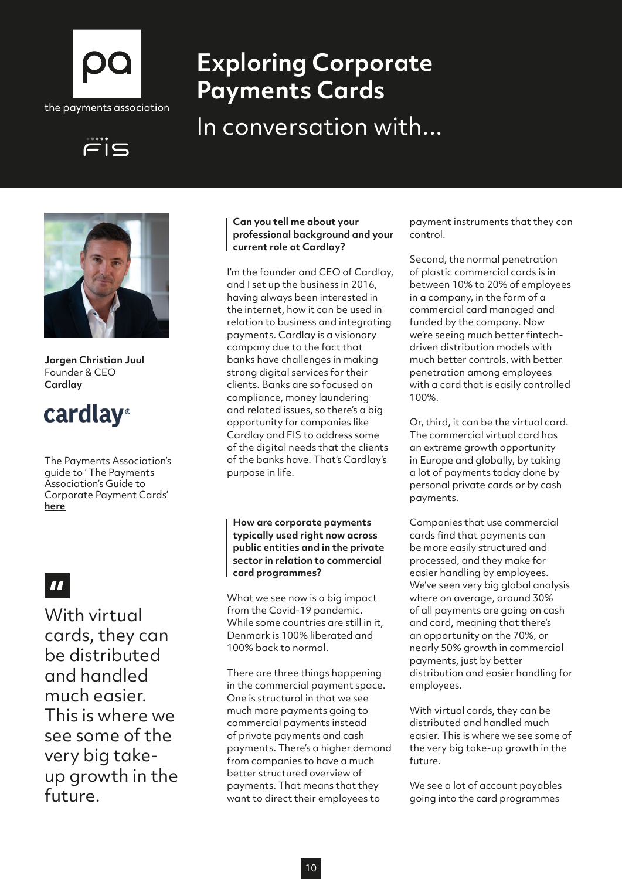

FIS

# **Exploring Corporate Payments Cards**

In conversation with...



**Jorgen Christian Juul** Founder & CEO **Cardlay**

## cardlay®

The Payments Association's guide to ' The Payments Association's Guide to Corporate Payment Cards' **[here](http://here)**

## H

With virtual cards, they can be distributed and handled much easier. This is where we see some of the very big takeup growth in the future.

### **Can you tell me about your professional background and your current role at Cardlay?**

I'm the founder and CEO of Cardlay, and I set up the business in 2016, having always been interested in the internet, how it can be used in relation to business and integrating payments. Cardlay is a visionary company due to the fact that banks have challenges in making strong digital services for their clients. Banks are so focused on compliance, money laundering and related issues, so there's a big opportunity for companies like Cardlay and FIS to address some of the digital needs that the clients of the banks have. That's Cardlay's purpose in life.

**How are corporate payments typically used right now across public entities and in the private sector in relation to commercial card programmes?**

What we see now is a big impact from the Covid-19 pandemic. While some countries are still in it, Denmark is 100% liberated and 100% back to normal.

There are three things happening in the commercial payment space. One is structural in that we see much more payments going to commercial payments instead of private payments and cash payments. There's a higher demand from companies to have a much better structured overview of payments. That means that they want to direct their employees to

payment instruments that they can control.

Second, the normal penetration of plastic commercial cards is in between 10% to 20% of employees in a company, in the form of a commercial card managed and funded by the company. Now we're seeing much better fintechdriven distribution models with much better controls, with better penetration among employees with a card that is easily controlled 100%.

Or, third, it can be the virtual card. The commercial virtual card has an extreme growth opportunity in Europe and globally, by taking a lot of payments today done by personal private cards or by cash payments.

Companies that use commercial cards find that payments can be more easily structured and processed, and they make for easier handling by employees. We've seen very big global analysis where on average, around 30% of all payments are going on cash and card, meaning that there's an opportunity on the 70%, or nearly 50% growth in commercial payments, just by better distribution and easier handling for employees.

With virtual cards, they can be distributed and handled much easier. This is where we see some of the very big take-up growth in the future.

We see a lot of account payables going into the card programmes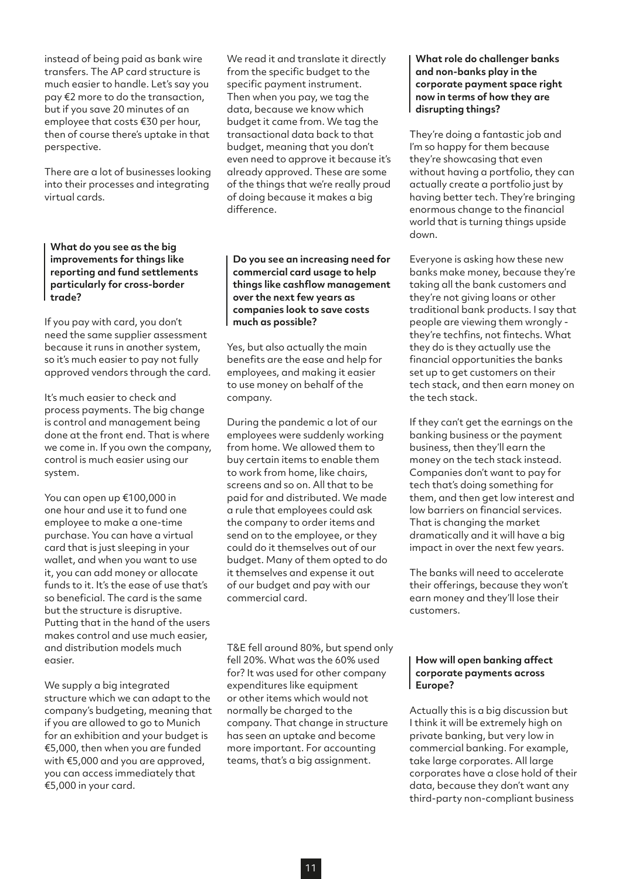instead of being paid as bank wire transfers. The AP card structure is much easier to handle. Let's say you pay €2 more to do the transaction, but if you save 20 minutes of an employee that costs €30 per hour, then of course there's uptake in that perspective.

There are a lot of businesses looking into their processes and integrating virtual cards.

#### **What do you see as the big improvements for things like reporting and fund settlements particularly for cross-border trade?**

If you pay with card, you don't need the same supplier assessment because it runs in another system, so it's much easier to pay not fully approved vendors through the card.

It's much easier to check and process payments. The big change is control and management being done at the front end. That is where we come in. If you own the company, control is much easier using our system.

You can open up €100,000 in one hour and use it to fund one employee to make a one-time purchase. You can have a virtual card that is just sleeping in your wallet, and when you want to use it, you can add money or allocate funds to it. It's the ease of use that's so beneficial. The card is the same but the structure is disruptive. Putting that in the hand of the users makes control and use much easier, and distribution models much easier.

We supply a big integrated structure which we can adapt to the company's budgeting, meaning that if you are allowed to go to Munich for an exhibition and your budget is €5,000, then when you are funded with €5,000 and you are approved, you can access immediately that €5,000 in your card.

We read it and translate it directly from the specific budget to the specific payment instrument. Then when you pay, we tag the data, because we know which budget it came from. We tag the transactional data back to that budget, meaning that you don't even need to approve it because it's already approved. These are some of the things that we're really proud of doing because it makes a big difference.

#### **Do you see an increasing need for commercial card usage to help things like cashflow management over the next few years as companies look to save costs much as possible?**

Yes, but also actually the main benefits are the ease and help for employees, and making it easier to use money on behalf of the company.

During the pandemic a lot of our employees were suddenly working from home. We allowed them to buy certain items to enable them to work from home, like chairs, screens and so on. All that to be paid for and distributed. We made a rule that employees could ask the company to order items and send on to the employee, or they could do it themselves out of our budget. Many of them opted to do it themselves and expense it out of our budget and pay with our commercial card.

T&E fell around 80%, but spend only fell 20%. What was the 60% used for? It was used for other company expenditures like equipment or other items which would not normally be charged to the company. That change in structure has seen an uptake and become more important. For accounting teams, that's a big assignment.

#### **What role do challenger banks and non-banks play in the corporate payment space right now in terms of how they are disrupting things?**

They're doing a fantastic job and I'm so happy for them because they're showcasing that even without having a portfolio, they can actually create a portfolio just by having better tech. They're bringing enormous change to the financial world that is turning things upside down.

Everyone is asking how these new banks make money, because they're taking all the bank customers and they're not giving loans or other traditional bank products. I say that people are viewing them wrongly they're techfins, not fintechs. What they do is they actually use the financial opportunities the banks set up to get customers on their tech stack, and then earn money on the tech stack.

If they can't get the earnings on the banking business or the payment business, then they'll earn the money on the tech stack instead. Companies don't want to pay for tech that's doing something for them, and then get low interest and low barriers on financial services. That is changing the market dramatically and it will have a big impact in over the next few years.

The banks will need to accelerate their offerings, because they won't earn money and they'll lose their customers.

#### **How will open banking affect corporate payments across Europe?**

Actually this is a big discussion but I think it will be extremely high on private banking, but very low in commercial banking. For example, take large corporates. All large corporates have a close hold of their data, because they don't want any third-party non-compliant business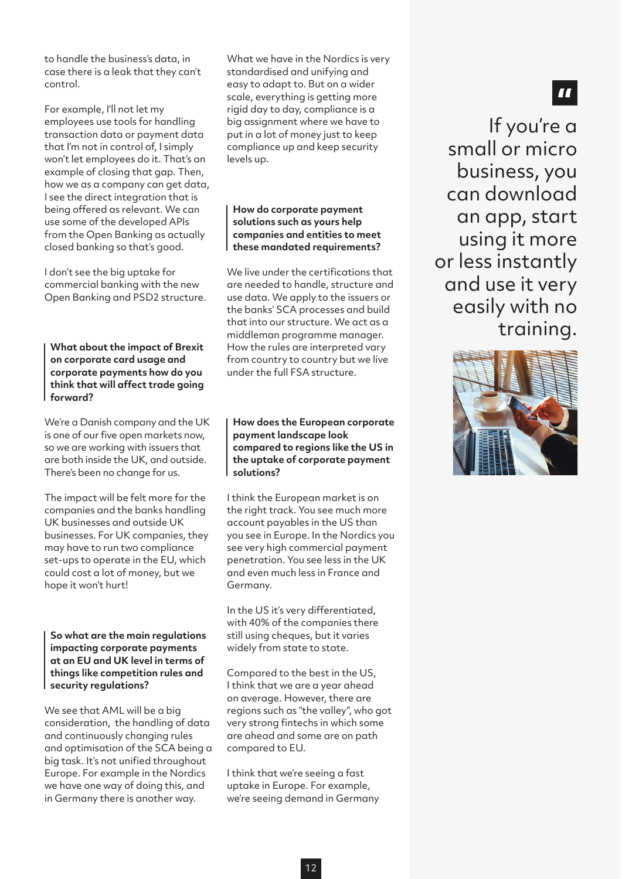to handle the business's data, in case there is a leak that they can't control.

For example, I'll not let my employees use tools for handling transaction data or payment data that I'm not in control of, I simply won't let employees do it. That's an example of closing that gap. Then, how we as a company can get data, I see the direct integration that is being offered as relevant. We can use some of the developed APIs from the Open Banking as actually closed banking so that's good.

I don't see the big uptake for commercial banking with the new Open Banking and PSD2 structure.

**What about the impact of Brexit on corporate card usage and corporate payments how do you think that will affect trade going forward?**

We're a Danish company and the UK is one of our five open markets now, so we are working with issuers that are both inside the UK, and outside. There's been no change for us.

The impact will be felt more for the companies and the banks handling UK businesses and outside UK businesses. For UK companies, they may have to run two compliance set-ups to operate in the EU, which could cost a lot of money, but we hope it won't hurt!

**So what are the main regulations impacting corporate payments at an EU and UK level in terms of things like competition rules and security regulations?**

We see that AML will be a big consideration, the handling of data and continuously changing rules and optimisation of the SCA being a big task. It's not unified throughout Europe. For example in the Nordics we have one way of doing this, and in Germany there is another way.

What we have in the Nordics is very standardised and unifying and easy to adapt to. But on a wider scale, everything is getting more rigid day to day, compliance is a big assignment where we have to put in a lot of money just to keep compliance up and keep security levels up.

#### **How do corporate payment solutions such as yours help companies and entities to meet these mandated requirements?**

We live under the certifications that are needed to handle, structure and use data. We apply to the issuers or the banks' SCA processes and build that into our structure. We act as a middleman programme manager. How the rules are interpreted vary from country to country but we live under the full FSA structure.

#### **How does the European corporate payment landscape look compared to regions like the US in the uptake of corporate payment solutions?**

I think the European market is on the right track. You see much more account payables in the US than you see in Europe. In the Nordics you see very high commercial payment penetration. You see less in the UK and even much less in France and Germany.

In the US it's very differentiated, with 40% of the companies there still using cheques, but it varies widely from state to state.

Compared to the best in the US, I think that we are a year ahead on average. However, there are regions such as "the valley", who got very strong fintechs in which some are ahead and some are on path compared to EU.

I think that we're seeing a fast uptake in Europe. For example, we're seeing demand in Germany

## If you're a small or micro business, you can download an app, start using it more or less instantly and use it very easily with no training.

 $\blacksquare$